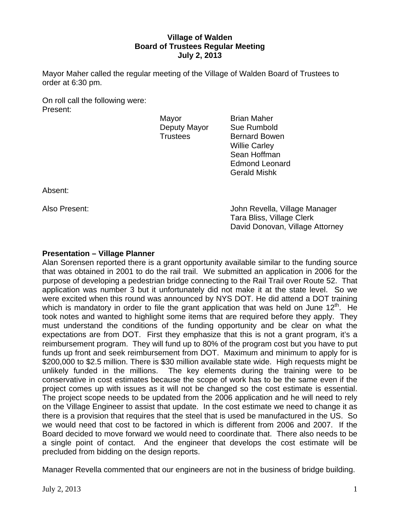# **Village of Walden Board of Trustees Regular Meeting July 2, 2013**

Mayor Maher called the regular meeting of the Village of Walden Board of Trustees to order at 6:30 pm.

On roll call the following were: Present:

Mayor **Brian Maher** Deputy Mayor Sue Rumbold

Trustees Bernard Bowen Willie Carley Sean Hoffman Edmond Leonard Gerald Mishk

Absent:

Also Present: John Revella, Village Manager Tara Bliss, Village Clerk David Donovan, Village Attorney

## **Presentation – Village Planner**

Alan Sorensen reported there is a grant opportunity available similar to the funding source that was obtained in 2001 to do the rail trail. We submitted an application in 2006 for the purpose of developing a pedestrian bridge connecting to the Rail Trail over Route 52. That application was number 3 but it unfortunately did not make it at the state level. So we were excited when this round was announced by NYS DOT. He did attend a DOT training which is mandatory in order to file the grant application that was held on June  $12<sup>th</sup>$ . He took notes and wanted to highlight some items that are required before they apply. They must understand the conditions of the funding opportunity and be clear on what the expectations are from DOT. First they emphasize that this is not a grant program, it's a reimbursement program. They will fund up to 80% of the program cost but you have to put funds up front and seek reimbursement from DOT. Maximum and minimum to apply for is \$200,000 to \$2.5 million. There is \$30 million available state wide. High requests might be unlikely funded in the millions. The key elements during the training were to be conservative in cost estimates because the scope of work has to be the same even if the project comes up with issues as it will not be changed so the cost estimate is essential. The project scope needs to be updated from the 2006 application and he will need to rely on the Village Engineer to assist that update. In the cost estimate we need to change it as there is a provision that requires that the steel that is used be manufactured in the US. So we would need that cost to be factored in which is different from 2006 and 2007. If the Board decided to move forward we would need to coordinate that. There also needs to be a single point of contact. And the engineer that develops the cost estimate will be precluded from bidding on the design reports.

Manager Revella commented that our engineers are not in the business of bridge building.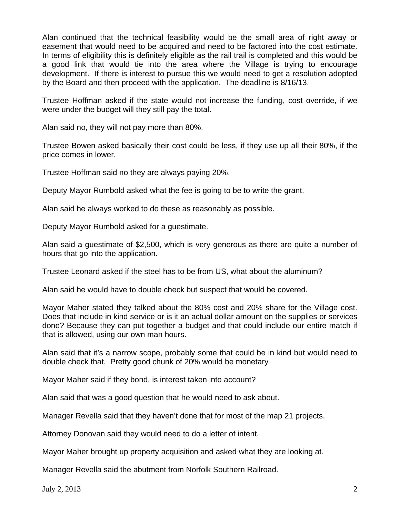Alan continued that the technical feasibility would be the small area of right away or easement that would need to be acquired and need to be factored into the cost estimate. In terms of eligibility this is definitely eligible as the rail trail is completed and this would be a good link that would tie into the area where the Village is trying to encourage development. If there is interest to pursue this we would need to get a resolution adopted by the Board and then proceed with the application. The deadline is 8/16/13.

Trustee Hoffman asked if the state would not increase the funding, cost override, if we were under the budget will they still pay the total.

Alan said no, they will not pay more than 80%.

Trustee Bowen asked basically their cost could be less, if they use up all their 80%, if the price comes in lower.

Trustee Hoffman said no they are always paying 20%.

Deputy Mayor Rumbold asked what the fee is going to be to write the grant.

Alan said he always worked to do these as reasonably as possible.

Deputy Mayor Rumbold asked for a guestimate.

Alan said a guestimate of \$2,500, which is very generous as there are quite a number of hours that go into the application.

Trustee Leonard asked if the steel has to be from US, what about the aluminum?

Alan said he would have to double check but suspect that would be covered.

Mayor Maher stated they talked about the 80% cost and 20% share for the Village cost. Does that include in kind service or is it an actual dollar amount on the supplies or services done? Because they can put together a budget and that could include our entire match if that is allowed, using our own man hours.

Alan said that it's a narrow scope, probably some that could be in kind but would need to double check that. Pretty good chunk of 20% would be monetary

Mayor Maher said if they bond, is interest taken into account?

Alan said that was a good question that he would need to ask about.

Manager Revella said that they haven't done that for most of the map 21 projects.

Attorney Donovan said they would need to do a letter of intent.

Mayor Maher brought up property acquisition and asked what they are looking at.

Manager Revella said the abutment from Norfolk Southern Railroad.

July 2, 2013 2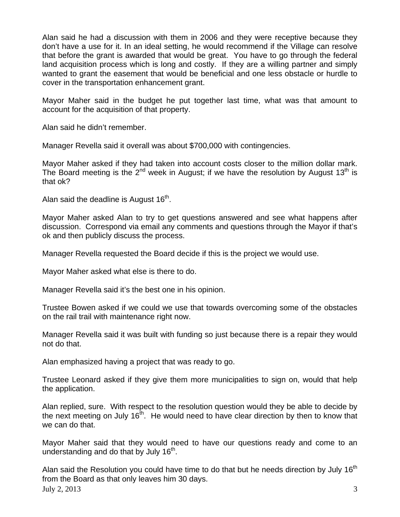Alan said he had a discussion with them in 2006 and they were receptive because they don't have a use for it. In an ideal setting, he would recommend if the Village can resolve that before the grant is awarded that would be great. You have to go through the federal land acquisition process which is long and costly. If they are a willing partner and simply wanted to grant the easement that would be beneficial and one less obstacle or hurdle to cover in the transportation enhancement grant.

Mayor Maher said in the budget he put together last time, what was that amount to account for the acquisition of that property.

Alan said he didn't remember.

Manager Revella said it overall was about \$700,000 with contingencies.

Mayor Maher asked if they had taken into account costs closer to the million dollar mark. The Board meeting is the  $2^{nd}$  week in August; if we have the resolution by August 13<sup>th</sup> is that ok?

Alan said the deadline is August  $16<sup>th</sup>$ .

Mayor Maher asked Alan to try to get questions answered and see what happens after discussion. Correspond via email any comments and questions through the Mayor if that's ok and then publicly discuss the process.

Manager Revella requested the Board decide if this is the project we would use.

Mayor Maher asked what else is there to do.

Manager Revella said it's the best one in his opinion.

Trustee Bowen asked if we could we use that towards overcoming some of the obstacles on the rail trail with maintenance right now.

Manager Revella said it was built with funding so just because there is a repair they would not do that.

Alan emphasized having a project that was ready to go.

Trustee Leonard asked if they give them more municipalities to sign on, would that help the application.

Alan replied, sure. With respect to the resolution question would they be able to decide by the next meeting on July  $16<sup>th</sup>$ . He would need to have clear direction by then to know that we can do that.

Mayor Maher said that they would need to have our questions ready and come to an understanding and do that by July  $16<sup>th</sup>$ .

July 2, 2013  $\frac{3}{3}$ Alan said the Resolution you could have time to do that but he needs direction by July  $16<sup>th</sup>$ from the Board as that only leaves him 30 days.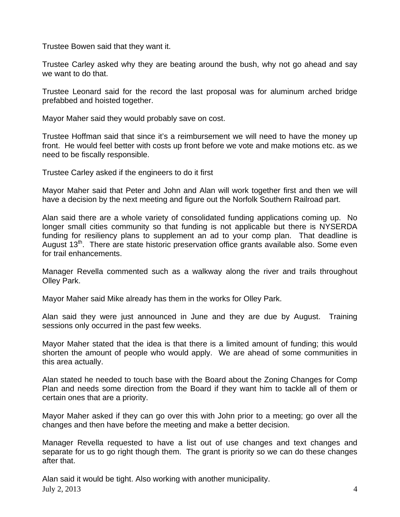Trustee Bowen said that they want it.

Trustee Carley asked why they are beating around the bush, why not go ahead and say we want to do that.

Trustee Leonard said for the record the last proposal was for aluminum arched bridge prefabbed and hoisted together.

Mayor Maher said they would probably save on cost.

Trustee Hoffman said that since it's a reimbursement we will need to have the money up front. He would feel better with costs up front before we vote and make motions etc. as we need to be fiscally responsible.

Trustee Carley asked if the engineers to do it first

Mayor Maher said that Peter and John and Alan will work together first and then we will have a decision by the next meeting and figure out the Norfolk Southern Railroad part.

Alan said there are a whole variety of consolidated funding applications coming up. No longer small cities community so that funding is not applicable but there is NYSERDA funding for resiliency plans to supplement an ad to your comp plan. That deadline is August 13<sup>th</sup>. There are state historic preservation office grants available also. Some even for trail enhancements.

Manager Revella commented such as a walkway along the river and trails throughout Olley Park.

Mayor Maher said Mike already has them in the works for Olley Park.

Alan said they were just announced in June and they are due by August. Training sessions only occurred in the past few weeks.

Mayor Maher stated that the idea is that there is a limited amount of funding; this would shorten the amount of people who would apply. We are ahead of some communities in this area actually.

Alan stated he needed to touch base with the Board about the Zoning Changes for Comp Plan and needs some direction from the Board if they want him to tackle all of them or certain ones that are a priority.

Mayor Maher asked if they can go over this with John prior to a meeting; go over all the changes and then have before the meeting and make a better decision.

Manager Revella requested to have a list out of use changes and text changes and separate for us to go right though them. The grant is priority so we can do these changes after that.

July 2, 2013 4 Alan said it would be tight. Also working with another municipality.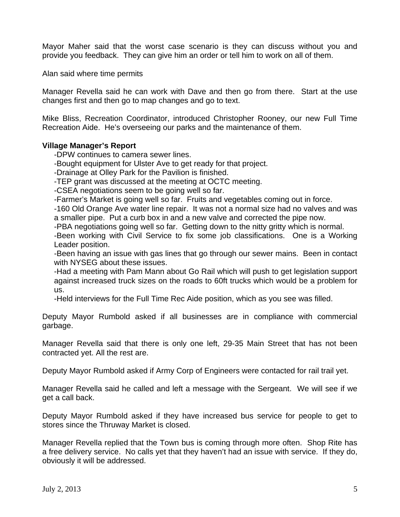Mayor Maher said that the worst case scenario is they can discuss without you and provide you feedback. They can give him an order or tell him to work on all of them.

Alan said where time permits

Manager Revella said he can work with Dave and then go from there. Start at the use changes first and then go to map changes and go to text.

Mike Bliss, Recreation Coordinator, introduced Christopher Rooney, our new Full Time Recreation Aide. He's overseeing our parks and the maintenance of them.

### **Village Manager's Report**

-DPW continues to camera sewer lines.

-Bought equipment for Ulster Ave to get ready for that project.

-Drainage at Olley Park for the Pavilion is finished.

-TEP grant was discussed at the meeting at OCTC meeting.

-CSEA negotiations seem to be going well so far.

-Farmer's Market is going well so far. Fruits and vegetables coming out in force.

-160 Old Orange Ave water line repair. It was not a normal size had no valves and was a smaller pipe. Put a curb box in and a new valve and corrected the pipe now.

-PBA negotiations going well so far. Getting down to the nitty gritty which is normal.

-Been working with Civil Service to fix some job classifications. One is a Working Leader position.

-Been having an issue with gas lines that go through our sewer mains. Been in contact with NYSEG about these issues.

-Had a meeting with Pam Mann about Go Rail which will push to get legislation support against increased truck sizes on the roads to 60ft trucks which would be a problem for us.

-Held interviews for the Full Time Rec Aide position, which as you see was filled.

Deputy Mayor Rumbold asked if all businesses are in compliance with commercial garbage.

Manager Revella said that there is only one left, 29-35 Main Street that has not been contracted yet. All the rest are.

Deputy Mayor Rumbold asked if Army Corp of Engineers were contacted for rail trail yet.

Manager Revella said he called and left a message with the Sergeant. We will see if we get a call back.

Deputy Mayor Rumbold asked if they have increased bus service for people to get to stores since the Thruway Market is closed.

Manager Revella replied that the Town bus is coming through more often. Shop Rite has a free delivery service. No calls yet that they haven't had an issue with service. If they do, obviously it will be addressed.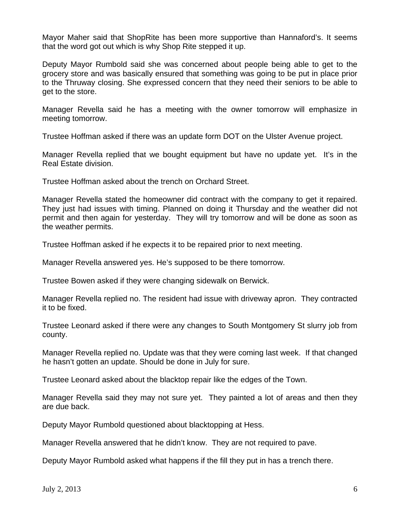Mayor Maher said that ShopRite has been more supportive than Hannaford's. It seems that the word got out which is why Shop Rite stepped it up.

Deputy Mayor Rumbold said she was concerned about people being able to get to the grocery store and was basically ensured that something was going to be put in place prior to the Thruway closing. She expressed concern that they need their seniors to be able to get to the store.

Manager Revella said he has a meeting with the owner tomorrow will emphasize in meeting tomorrow.

Trustee Hoffman asked if there was an update form DOT on the Ulster Avenue project.

Manager Revella replied that we bought equipment but have no update yet. It's in the Real Estate division.

Trustee Hoffman asked about the trench on Orchard Street.

Manager Revella stated the homeowner did contract with the company to get it repaired. They just had issues with timing. Planned on doing it Thursday and the weather did not permit and then again for yesterday. They will try tomorrow and will be done as soon as the weather permits.

Trustee Hoffman asked if he expects it to be repaired prior to next meeting.

Manager Revella answered yes. He's supposed to be there tomorrow.

Trustee Bowen asked if they were changing sidewalk on Berwick.

Manager Revella replied no. The resident had issue with driveway apron. They contracted it to be fixed.

Trustee Leonard asked if there were any changes to South Montgomery St slurry job from county.

Manager Revella replied no. Update was that they were coming last week. If that changed he hasn't gotten an update. Should be done in July for sure.

Trustee Leonard asked about the blacktop repair like the edges of the Town.

Manager Revella said they may not sure yet. They painted a lot of areas and then they are due back.

Deputy Mayor Rumbold questioned about blacktopping at Hess.

Manager Revella answered that he didn't know. They are not required to pave.

Deputy Mayor Rumbold asked what happens if the fill they put in has a trench there.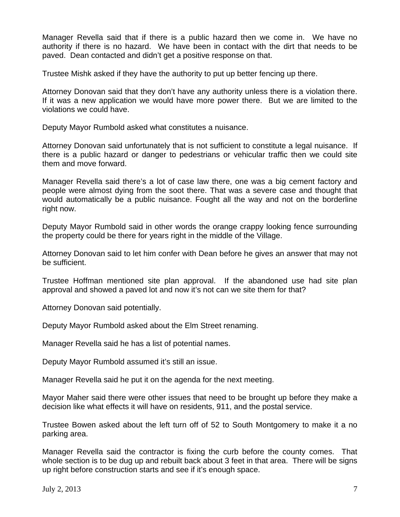Manager Revella said that if there is a public hazard then we come in. We have no authority if there is no hazard. We have been in contact with the dirt that needs to be paved. Dean contacted and didn't get a positive response on that.

Trustee Mishk asked if they have the authority to put up better fencing up there.

Attorney Donovan said that they don't have any authority unless there is a violation there. If it was a new application we would have more power there. But we are limited to the violations we could have.

Deputy Mayor Rumbold asked what constitutes a nuisance.

Attorney Donovan said unfortunately that is not sufficient to constitute a legal nuisance. If there is a public hazard or danger to pedestrians or vehicular traffic then we could site them and move forward.

Manager Revella said there's a lot of case law there, one was a big cement factory and people were almost dying from the soot there. That was a severe case and thought that would automatically be a public nuisance. Fought all the way and not on the borderline right now.

Deputy Mayor Rumbold said in other words the orange crappy looking fence surrounding the property could be there for years right in the middle of the Village.

Attorney Donovan said to let him confer with Dean before he gives an answer that may not be sufficient.

Trustee Hoffman mentioned site plan approval. If the abandoned use had site plan approval and showed a paved lot and now it's not can we site them for that?

Attorney Donovan said potentially.

Deputy Mayor Rumbold asked about the Elm Street renaming.

Manager Revella said he has a list of potential names.

Deputy Mayor Rumbold assumed it's still an issue.

Manager Revella said he put it on the agenda for the next meeting.

Mayor Maher said there were other issues that need to be brought up before they make a decision like what effects it will have on residents, 911, and the postal service.

Trustee Bowen asked about the left turn off of 52 to South Montgomery to make it a no parking area.

Manager Revella said the contractor is fixing the curb before the county comes. That whole section is to be dug up and rebuilt back about 3 feet in that area. There will be signs up right before construction starts and see if it's enough space.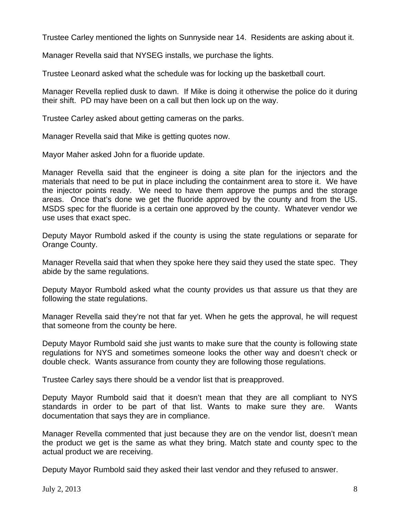Trustee Carley mentioned the lights on Sunnyside near 14. Residents are asking about it.

Manager Revella said that NYSEG installs, we purchase the lights.

Trustee Leonard asked what the schedule was for locking up the basketball court.

Manager Revella replied dusk to dawn. If Mike is doing it otherwise the police do it during their shift. PD may have been on a call but then lock up on the way.

Trustee Carley asked about getting cameras on the parks.

Manager Revella said that Mike is getting quotes now.

Mayor Maher asked John for a fluoride update.

Manager Revella said that the engineer is doing a site plan for the injectors and the materials that need to be put in place including the containment area to store it. We have the injector points ready. We need to have them approve the pumps and the storage areas. Once that's done we get the fluoride approved by the county and from the US. MSDS spec for the fluoride is a certain one approved by the county. Whatever vendor we use uses that exact spec.

Deputy Mayor Rumbold asked if the county is using the state regulations or separate for Orange County.

Manager Revella said that when they spoke here they said they used the state spec. They abide by the same regulations.

Deputy Mayor Rumbold asked what the county provides us that assure us that they are following the state regulations.

Manager Revella said they're not that far yet. When he gets the approval, he will request that someone from the county be here.

Deputy Mayor Rumbold said she just wants to make sure that the county is following state regulations for NYS and sometimes someone looks the other way and doesn't check or double check. Wants assurance from county they are following those regulations.

Trustee Carley says there should be a vendor list that is preapproved.

Deputy Mayor Rumbold said that it doesn't mean that they are all compliant to NYS standards in order to be part of that list. Wants to make sure they are. Wants documentation that says they are in compliance.

Manager Revella commented that just because they are on the vendor list, doesn't mean the product we get is the same as what they bring. Match state and county spec to the actual product we are receiving.

Deputy Mayor Rumbold said they asked their last vendor and they refused to answer.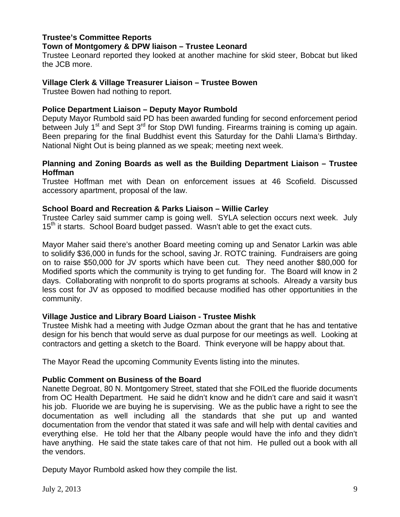## **Trustee's Committee Reports**

## **Town of Montgomery & DPW liaison – Trustee Leonard**

Trustee Leonard reported they looked at another machine for skid steer, Bobcat but liked the JCB more.

#### **Village Clerk & Village Treasurer Liaison – Trustee Bowen**

Trustee Bowen had nothing to report.

### **Police Department Liaison – Deputy Mayor Rumbold**

Deputy Mayor Rumbold said PD has been awarded funding for second enforcement period between July 1<sup>st</sup> and Sept 3<sup>rd</sup> for Stop DWI funding. Firearms training is coming up again. Been preparing for the final Buddhist event this Saturday for the Dahli Llama's Birthday. National Night Out is being planned as we speak; meeting next week.

### **Planning and Zoning Boards as well as the Building Department Liaison – Trustee Hoffman**

Trustee Hoffman met with Dean on enforcement issues at 46 Scofield. Discussed accessory apartment, proposal of the law.

### **School Board and Recreation & Parks Liaison – Willie Carley**

Trustee Carley said summer camp is going well. SYLA selection occurs next week. July 15<sup>th</sup> it starts. School Board budget passed. Wasn't able to get the exact cuts.

Mayor Maher said there's another Board meeting coming up and Senator Larkin was able to solidify \$36,000 in funds for the school, saving Jr. ROTC training. Fundraisers are going on to raise \$50,000 for JV sports which have been cut. They need another \$80,000 for Modified sports which the community is trying to get funding for. The Board will know in 2 days. Collaborating with nonprofit to do sports programs at schools. Already a varsity bus less cost for JV as opposed to modified because modified has other opportunities in the community.

## **Village Justice and Library Board Liaison - Trustee Mishk**

Trustee Mishk had a meeting with Judge Ozman about the grant that he has and tentative design for his bench that would serve as dual purpose for our meetings as well. Looking at contractors and getting a sketch to the Board. Think everyone will be happy about that.

The Mayor Read the upcoming Community Events listing into the minutes.

#### **Public Comment on Business of the Board**

Nanette Degroat, 80 N. Montgomery Street, stated that she FOILed the fluoride documents from OC Health Department. He said he didn't know and he didn't care and said it wasn't his job. Fluoride we are buying he is supervising. We as the public have a right to see the documentation as well including all the standards that she put up and wanted documentation from the vendor that stated it was safe and will help with dental cavities and everything else. He told her that the Albany people would have the info and they didn't have anything. He said the state takes care of that not him. He pulled out a book with all the vendors.

Deputy Mayor Rumbold asked how they compile the list.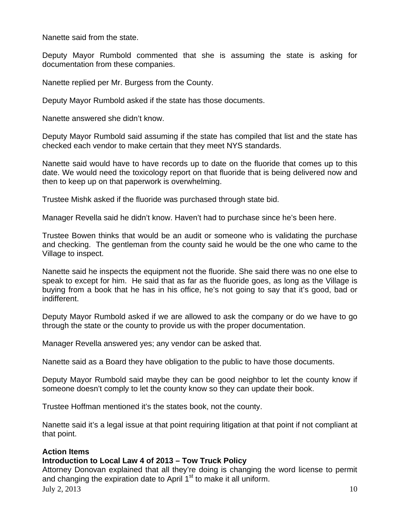Nanette said from the state.

Deputy Mayor Rumbold commented that she is assuming the state is asking for documentation from these companies.

Nanette replied per Mr. Burgess from the County.

Deputy Mayor Rumbold asked if the state has those documents.

Nanette answered she didn't know.

Deputy Mayor Rumbold said assuming if the state has compiled that list and the state has checked each vendor to make certain that they meet NYS standards.

Nanette said would have to have records up to date on the fluoride that comes up to this date. We would need the toxicology report on that fluoride that is being delivered now and then to keep up on that paperwork is overwhelming.

Trustee Mishk asked if the fluoride was purchased through state bid.

Manager Revella said he didn't know. Haven't had to purchase since he's been here.

Trustee Bowen thinks that would be an audit or someone who is validating the purchase and checking. The gentleman from the county said he would be the one who came to the Village to inspect.

Nanette said he inspects the equipment not the fluoride. She said there was no one else to speak to except for him. He said that as far as the fluoride goes, as long as the Village is buying from a book that he has in his office, he's not going to say that it's good, bad or indifferent.

Deputy Mayor Rumbold asked if we are allowed to ask the company or do we have to go through the state or the county to provide us with the proper documentation.

Manager Revella answered yes; any vendor can be asked that.

Nanette said as a Board they have obligation to the public to have those documents.

Deputy Mayor Rumbold said maybe they can be good neighbor to let the county know if someone doesn't comply to let the county know so they can update their book.

Trustee Hoffman mentioned it's the states book, not the county.

Nanette said it's a legal issue at that point requiring litigation at that point if not compliant at that point.

## **Action Items**

## **Introduction to Local Law 4 of 2013 – Tow Truck Policy**

Attorney Donovan explained that all they're doing is changing the word license to permit and changing the expiration date to April  $1<sup>st</sup>$  to make it all uniform.

July 2, 2013 10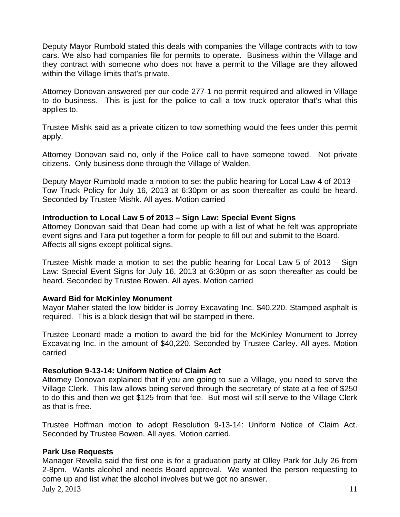Deputy Mayor Rumbold stated this deals with companies the Village contracts with to tow cars. We also had companies file for permits to operate. Business within the Village and they contract with someone who does not have a permit to the Village are they allowed within the Village limits that's private.

Attorney Donovan answered per our code 277-1 no permit required and allowed in Village to do business. This is just for the police to call a tow truck operator that's what this applies to.

Trustee Mishk said as a private citizen to tow something would the fees under this permit apply.

Attorney Donovan said no, only if the Police call to have someone towed. Not private citizens. Only business done through the Village of Walden.

Deputy Mayor Rumbold made a motion to set the public hearing for Local Law 4 of 2013 – Tow Truck Policy for July 16, 2013 at 6:30pm or as soon thereafter as could be heard. Seconded by Trustee Mishk. All ayes. Motion carried

### **Introduction to Local Law 5 of 2013 – Sign Law: Special Event Signs**

Attorney Donovan said that Dean had come up with a list of what he felt was appropriate event signs and Tara put together a form for people to fill out and submit to the Board. Affects all signs except political signs.

Trustee Mishk made a motion to set the public hearing for Local Law 5 of 2013 – Sign Law: Special Event Signs for July 16, 2013 at 6:30pm or as soon thereafter as could be heard. Seconded by Trustee Bowen. All ayes. Motion carried

#### **Award Bid for McKinley Monument**

Mayor Maher stated the low bidder is Jorrey Excavating Inc. \$40,220. Stamped asphalt is required. This is a block design that will be stamped in there.

Trustee Leonard made a motion to award the bid for the McKinley Monument to Jorrey Excavating Inc. in the amount of \$40,220. Seconded by Trustee Carley. All ayes. Motion carried

#### **Resolution 9-13-14: Uniform Notice of Claim Act**

Attorney Donovan explained that if you are going to sue a Village, you need to serve the Village Clerk. This law allows being served through the secretary of state at a fee of \$250 to do this and then we get \$125 from that fee. But most will still serve to the Village Clerk as that is free.

Trustee Hoffman motion to adopt Resolution 9-13-14: Uniform Notice of Claim Act. Seconded by Trustee Bowen. All ayes. Motion carried.

## **Park Use Requests**

July 2, 2013  $11$ Manager Revella said the first one is for a graduation party at Olley Park for July 26 from 2-8pm. Wants alcohol and needs Board approval. We wanted the person requesting to come up and list what the alcohol involves but we got no answer.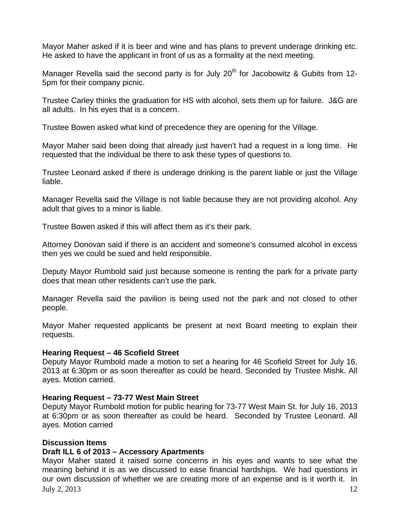Mayor Maher asked if it is beer and wine and has plans to prevent underage drinking etc. He asked to have the applicant in front of us as a formality at the next meeting.

Manager Revella said the second party is for July  $20<sup>th</sup>$  for Jacobowitz & Gubits from 12-5pm for their company picnic.

Trustee Carley thinks the graduation for HS with alcohol, sets them up for failure. J&G are all adults. In his eyes that is a concern.

Trustee Bowen asked what kind of precedence they are opening for the Village.

Mayor Maher said been doing that already just haven't had a request in a long time. He requested that the individual be there to ask these types of questions to.

Trustee Leonard asked if there is underage drinking is the parent liable or just the Village liable.

Manager Revella said the Village is not liable because they are not providing alcohol. Any adult that gives to a minor is liable.

Trustee Bowen asked if this will affect them as it's their park.

Attorney Donovan said if there is an accident and someone's consumed alcohol in excess then yes we could be sued and held responsible.

Deputy Mayor Rumbold said just because someone is renting the park for a private party does that mean other residents can't use the park.

Manager Revella said the pavilion is being used not the park and not closed to other people.

Mayor Maher requested applicants be present at next Board meeting to explain their requests.

#### **Hearing Request – 46 Scofield Street**

Deputy Mayor Rumbold made a motion to set a hearing for 46 Scofield Street for July 16, 2013 at 6:30pm or as soon thereafter as could be heard. Seconded by Trustee Mishk. All ayes. Motion carried.

#### **Hearing Request – 73-77 West Main Street**

Deputy Mayor Rumbold motion for public hearing for 73-77 West Main St. for July 16, 2013 at 6:30pm or as soon thereafter as could be heard. Seconded by Trustee Leonard. All ayes. Motion carried

## **Discussion Items**

## **Draft ILL 6 of 2013 – Accessory Apartments**

July 2, 2013  $12$ Mayor Maher stated it raised some concerns in his eyes and wants to see what the meaning behind it is as we discussed to ease financial hardships. We had questions in our own discussion of whether we are creating more of an expense and is it worth it. In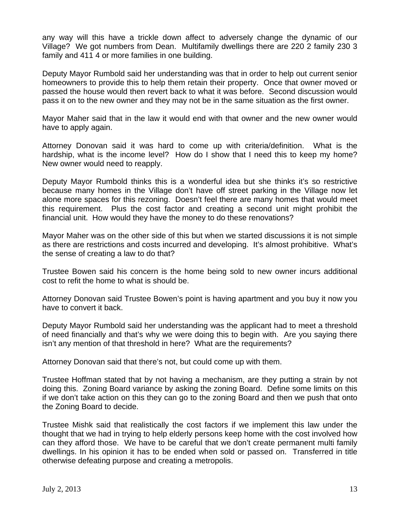any way will this have a trickle down affect to adversely change the dynamic of our Village? We got numbers from Dean. Multifamily dwellings there are 220 2 family 230 3 family and 411 4 or more families in one building.

Deputy Mayor Rumbold said her understanding was that in order to help out current senior homeowners to provide this to help them retain their property. Once that owner moved or passed the house would then revert back to what it was before. Second discussion would pass it on to the new owner and they may not be in the same situation as the first owner.

Mayor Maher said that in the law it would end with that owner and the new owner would have to apply again.

Attorney Donovan said it was hard to come up with criteria/definition. What is the hardship, what is the income level? How do I show that I need this to keep my home? New owner would need to reapply.

Deputy Mayor Rumbold thinks this is a wonderful idea but she thinks it's so restrictive because many homes in the Village don't have off street parking in the Village now let alone more spaces for this rezoning. Doesn't feel there are many homes that would meet this requirement. Plus the cost factor and creating a second unit might prohibit the financial unit. How would they have the money to do these renovations?

Mayor Maher was on the other side of this but when we started discussions it is not simple as there are restrictions and costs incurred and developing. It's almost prohibitive. What's the sense of creating a law to do that?

Trustee Bowen said his concern is the home being sold to new owner incurs additional cost to refit the home to what is should be.

Attorney Donovan said Trustee Bowen's point is having apartment and you buy it now you have to convert it back.

Deputy Mayor Rumbold said her understanding was the applicant had to meet a threshold of need financially and that's why we were doing this to begin with. Are you saying there isn't any mention of that threshold in here? What are the requirements?

Attorney Donovan said that there's not, but could come up with them.

Trustee Hoffman stated that by not having a mechanism, are they putting a strain by not doing this. Zoning Board variance by asking the zoning Board. Define some limits on this if we don't take action on this they can go to the zoning Board and then we push that onto the Zoning Board to decide.

Trustee Mishk said that realistically the cost factors if we implement this law under the thought that we had in trying to help elderly persons keep home with the cost involved how can they afford those. We have to be careful that we don't create permanent multi family dwellings. In his opinion it has to be ended when sold or passed on. Transferred in title otherwise defeating purpose and creating a metropolis.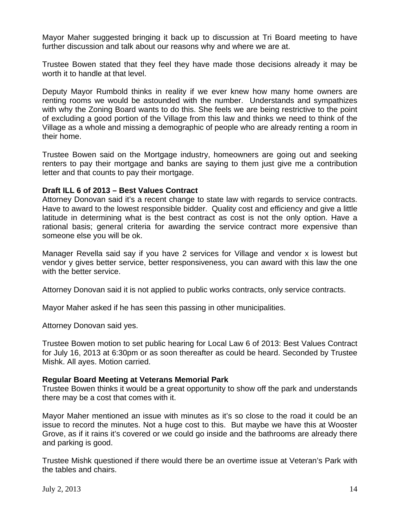Mayor Maher suggested bringing it back up to discussion at Tri Board meeting to have further discussion and talk about our reasons why and where we are at.

Trustee Bowen stated that they feel they have made those decisions already it may be worth it to handle at that level.

Deputy Mayor Rumbold thinks in reality if we ever knew how many home owners are renting rooms we would be astounded with the number. Understands and sympathizes with why the Zoning Board wants to do this. She feels we are being restrictive to the point of excluding a good portion of the Village from this law and thinks we need to think of the Village as a whole and missing a demographic of people who are already renting a room in their home.

Trustee Bowen said on the Mortgage industry, homeowners are going out and seeking renters to pay their mortgage and banks are saying to them just give me a contribution letter and that counts to pay their mortgage.

### **Draft ILL 6 of 2013 – Best Values Contract**

Attorney Donovan said it's a recent change to state law with regards to service contracts. Have to award to the lowest responsible bidder. Quality cost and efficiency and give a little latitude in determining what is the best contract as cost is not the only option. Have a rational basis; general criteria for awarding the service contract more expensive than someone else you will be ok.

Manager Revella said say if you have 2 services for Village and vendor x is lowest but vendor y gives better service, better responsiveness, you can award with this law the one with the better service.

Attorney Donovan said it is not applied to public works contracts, only service contracts.

Mayor Maher asked if he has seen this passing in other municipalities.

Attorney Donovan said yes.

Trustee Bowen motion to set public hearing for Local Law 6 of 2013: Best Values Contract for July 16, 2013 at 6:30pm or as soon thereafter as could be heard. Seconded by Trustee Mishk. All ayes. Motion carried.

## **Regular Board Meeting at Veterans Memorial Park**

Trustee Bowen thinks it would be a great opportunity to show off the park and understands there may be a cost that comes with it.

Mayor Maher mentioned an issue with minutes as it's so close to the road it could be an issue to record the minutes. Not a huge cost to this. But maybe we have this at Wooster Grove, as if it rains it's covered or we could go inside and the bathrooms are already there and parking is good.

Trustee Mishk questioned if there would there be an overtime issue at Veteran's Park with the tables and chairs.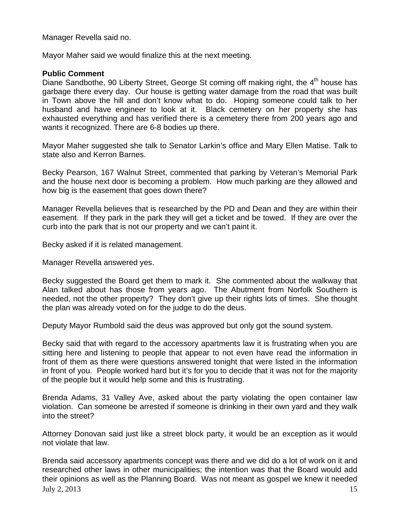Manager Revella said no.

Mayor Maher said we would finalize this at the next meeting.

## **Public Comment**

Diane Sandbothe, 90 Liberty Street, George St coming off making right, the  $4<sup>th</sup>$  house has garbage there every day. Our house is getting water damage from the road that was built in Town above the hill and don't know what to do. Hoping someone could talk to her husband and have engineer to look at it. Black cemetery on her property she has exhausted everything and has verified there is a cemetery there from 200 years ago and wants it recognized. There are 6-8 bodies up there.

Mayor Maher suggested she talk to Senator Larkin's office and Mary Ellen Matise. Talk to state also and Kerron Barnes.

Becky Pearson, 167 Walnut Street, commented that parking by Veteran's Memorial Park and the house next door is becoming a problem. How much parking are they allowed and how big is the easement that goes down there?

Manager Revella believes that is researched by the PD and Dean and they are within their easement. If they park in the park they will get a ticket and be towed. If they are over the curb into the park that is not our property and we can't paint it.

Becky asked if it is related management.

Manager Revella answered yes.

Becky suggested the Board get them to mark it. She commented about the walkway that Alan talked about has those from years ago. The Abutment from Norfolk Southern is needed, not the other property? They don't give up their rights lots of times. She thought the plan was already voted on for the judge to do the deus.

Deputy Mayor Rumbold said the deus was approved but only got the sound system.

Becky said that with regard to the accessory apartments law it is frustrating when you are sitting here and listening to people that appear to not even have read the information in front of them as there were questions answered tonight that were listed in the information in front of you. People worked hard but it's for you to decide that it was not for the majority of the people but it would help some and this is frustrating.

Brenda Adams, 31 Valley Ave, asked about the party violating the open container law violation. Can someone be arrested if someone is drinking in their own yard and they walk into the street?

Attorney Donovan said just like a street block party, it would be an exception as it would not violate that law.

July 2, 2013 15 Brenda said accessory apartments concept was there and we did do a lot of work on it and researched other laws in other municipalities; the intention was that the Board would add their opinions as well as the Planning Board. Was not meant as gospel we knew it needed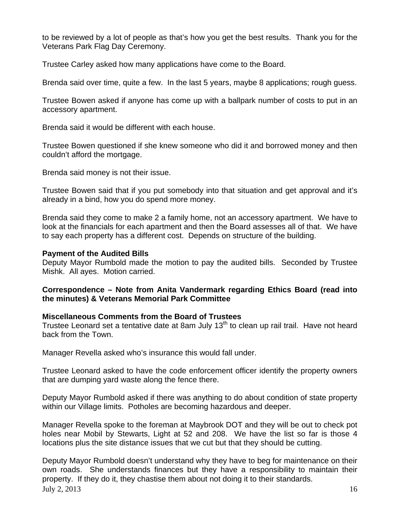to be reviewed by a lot of people as that's how you get the best results. Thank you for the Veterans Park Flag Day Ceremony.

Trustee Carley asked how many applications have come to the Board.

Brenda said over time, quite a few. In the last 5 years, maybe 8 applications; rough guess.

Trustee Bowen asked if anyone has come up with a ballpark number of costs to put in an accessory apartment.

Brenda said it would be different with each house.

Trustee Bowen questioned if she knew someone who did it and borrowed money and then couldn't afford the mortgage.

Brenda said money is not their issue.

Trustee Bowen said that if you put somebody into that situation and get approval and it's already in a bind, how you do spend more money.

Brenda said they come to make 2 a family home, not an accessory apartment. We have to look at the financials for each apartment and then the Board assesses all of that. We have to say each property has a different cost. Depends on structure of the building.

### **Payment of the Audited Bills**

Deputy Mayor Rumbold made the motion to pay the audited bills. Seconded by Trustee Mishk. All ayes. Motion carried.

## **Correspondence – Note from Anita Vandermark regarding Ethics Board (read into the minutes) & Veterans Memorial Park Committee**

## **Miscellaneous Comments from the Board of Trustees**

Trustee Leonard set a tentative date at 8am July 13<sup>th</sup> to clean up rail trail. Have not heard back from the Town.

Manager Revella asked who's insurance this would fall under.

Trustee Leonard asked to have the code enforcement officer identify the property owners that are dumping yard waste along the fence there.

Deputy Mayor Rumbold asked if there was anything to do about condition of state property within our Village limits. Potholes are becoming hazardous and deeper.

Manager Revella spoke to the foreman at Maybrook DOT and they will be out to check pot holes near Mobil by Stewarts, Light at 52 and 208. We have the list so far is those 4 locations plus the site distance issues that we cut but that they should be cutting.

July 2, 2013 16 Deputy Mayor Rumbold doesn't understand why they have to beg for maintenance on their own roads. She understands finances but they have a responsibility to maintain their property. If they do it, they chastise them about not doing it to their standards.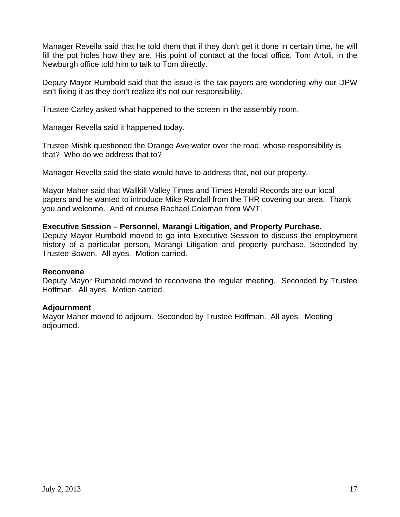Manager Revella said that he told them that if they don't get it done in certain time, he will fill the pot holes how they are. His point of contact at the local office, Tom Artoli, in the Newburgh office told him to talk to Tom directly.

Deputy Mayor Rumbold said that the issue is the tax payers are wondering why our DPW isn't fixing it as they don't realize it's not our responsibility.

Trustee Carley asked what happened to the screen in the assembly room.

Manager Revella said it happened today.

Trustee Mishk questioned the Orange Ave water over the road, whose responsibility is that? Who do we address that to?

Manager Revella said the state would have to address that, not our property.

Mayor Maher said that Wallkill Valley Times and Times Herald Records are our local papers and he wanted to introduce Mike Randall from the THR covering our area. Thank you and welcome. And of course Rachael Coleman from WVT.

### **Executive Session – Personnel, Marangi Litigation, and Property Purchase.**

Deputy Mayor Rumbold moved to go into Executive Session to discuss the employment history of a particular person, Marangi Litigation and property purchase. Seconded by Trustee Bowen. All ayes. Motion carried.

#### **Reconvene**

Deputy Mayor Rumbold moved to reconvene the regular meeting. Seconded by Trustee Hoffman. All ayes. Motion carried.

#### **Adjournment**

Mayor Maher moved to adjourn. Seconded by Trustee Hoffman. All ayes. Meeting adjourned.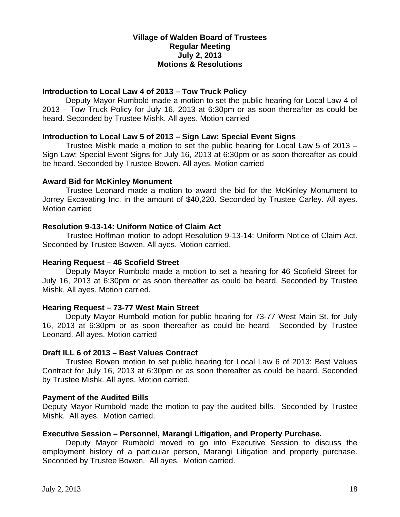### **Village of Walden Board of Trustees Regular Meeting July 2, 2013 Motions & Resolutions**

### **Introduction to Local Law 4 of 2013 – Tow Truck Policy**

Deputy Mayor Rumbold made a motion to set the public hearing for Local Law 4 of 2013 – Tow Truck Policy for July 16, 2013 at 6:30pm or as soon thereafter as could be heard. Seconded by Trustee Mishk. All ayes. Motion carried

## **Introduction to Local Law 5 of 2013 – Sign Law: Special Event Signs**

Trustee Mishk made a motion to set the public hearing for Local Law 5 of 2013 – Sign Law: Special Event Signs for July 16, 2013 at 6:30pm or as soon thereafter as could be heard. Seconded by Trustee Bowen. All ayes. Motion carried

### **Award Bid for McKinley Monument**

Trustee Leonard made a motion to award the bid for the McKinley Monument to Jorrey Excavating Inc. in the amount of \$40,220. Seconded by Trustee Carley. All ayes. Motion carried

### **Resolution 9-13-14: Uniform Notice of Claim Act**

Trustee Hoffman motion to adopt Resolution 9-13-14: Uniform Notice of Claim Act. Seconded by Trustee Bowen. All ayes. Motion carried.

#### **Hearing Request – 46 Scofield Street**

Deputy Mayor Rumbold made a motion to set a hearing for 46 Scofield Street for July 16, 2013 at 6:30pm or as soon thereafter as could be heard. Seconded by Trustee Mishk. All ayes. Motion carried.

#### **Hearing Request – 73-77 West Main Street**

Deputy Mayor Rumbold motion for public hearing for 73-77 West Main St. for July 16, 2013 at 6:30pm or as soon thereafter as could be heard. Seconded by Trustee Leonard. All ayes. Motion carried

## **Draft ILL 6 of 2013 – Best Values Contract**

Trustee Bowen motion to set public hearing for Local Law 6 of 2013: Best Values Contract for July 16, 2013 at 6:30pm or as soon thereafter as could be heard. Seconded by Trustee Mishk. All ayes. Motion carried.

#### **Payment of the Audited Bills**

Deputy Mayor Rumbold made the motion to pay the audited bills. Seconded by Trustee Mishk. All ayes. Motion carried.

#### **Executive Session – Personnel, Marangi Litigation, and Property Purchase.**

Deputy Mayor Rumbold moved to go into Executive Session to discuss the employment history of a particular person, Marangi Litigation and property purchase. Seconded by Trustee Bowen. All ayes. Motion carried.